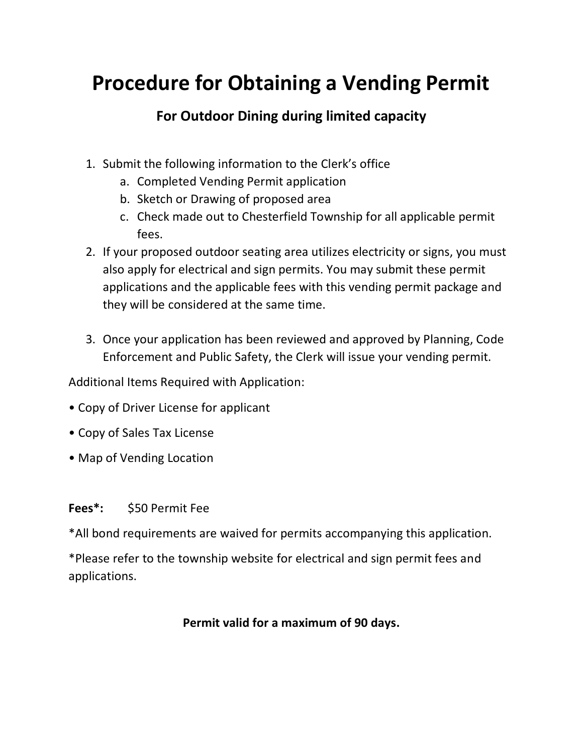# **Procedure for Obtaining a Vending Permit**

## **For Outdoor Dining during limited capacity**

- 1. Submit the following information to the Clerk's office
	- a. Completed Vending Permit application
	- b. Sketch or Drawing of proposed area
	- c. Check made out to Chesterfield Township for all applicable permit fees.
- 2. If your proposed outdoor seating area utilizes electricity or signs, you must also apply for electrical and sign permits. You may submit these permit applications and the applicable fees with this vending permit package and they will be considered at the same time.
- 3. Once your application has been reviewed and approved by Planning, Code Enforcement and Public Safety, the Clerk will issue your vending permit.

Additional Items Required with Application:

- Copy of Driver License for applicant
- Copy of Sales Tax License
- Map of Vending Location

### **Fees\*:** \$50 Permit Fee

\*All bond requirements are waived for permits accompanying this application.

\*Please refer to the township website for electrical and sign permit fees and applications.

### **Permit valid for a maximum of 90 days.**